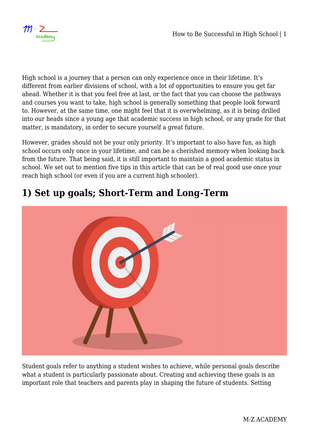

High school is a journey that a person can only experience once in their lifetime. It's different from earlier divisions of school, with a lot of opportunities to ensure you get far ahead. Whether it is that you feel free at last, or the fact that you can choose the pathways and courses you want to take, high school is generally something that people look forward to. However, at the same time, one might feel that it is overwhelming, as it is being drilled into our heads since a young age that academic success in high school, or any grade for that matter, is mandatory, in order to secure yourself a great future.

However, grades should not be your only priority. It's important to also have fun, as high school occurs only once in your lifetime, and can be a cherished memory when looking back from the future. That being said, it is still important to maintain a good academic status in school. We set out to mention five tips in this article that can be of real good use once your reach high school (or even if you are a current high schooler).

### **1) Set up goals; Short-Term and Long-Term**

Student goals refer to anything a student wishes to achieve, while personal goals describe what a student is particularly passionate about. Creating and achieving these goals is an important role that teachers and parents play in shaping the future of students. Setting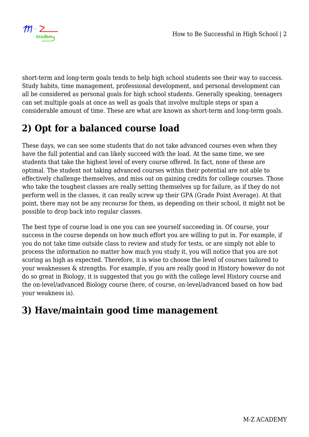

short-term and long-term goals tends to help high school students see their way to success. Study habits, time management, professional development, and personal development can all be considered as personal goals for high school students. Generally speaking, teenagers can set multiple goals at once as well as goals that involve multiple steps or span a considerable amount of time. These are what are known as short-term and long-term goals.

# **2) Opt for a balanced course load**

These days, we can see some students that do not take advanced courses even when they have the full potential and can likely succeed with the load. At the same time, we see students that take the highest level of every course offered. In fact, none of these are optimal. The student not taking advanced courses within their potential are not able to effectively challenge themselves, and miss out on gaining credits for college courses. Those who take the toughest classes are really setting themselves up for failure, as if they do not perform well in the classes, it can really screw up their GPA (Grade Point Average). At that point, there may not be any recourse for them, as depending on their school, it might not be possible to drop back into regular classes.

The best type of course load is one you can see yourself succeeding in. Of course, your success in the course depends on how much effort you are willing to put in. For example, if you do not take time outside class to review and study for tests, or are simply not able to process the information no matter how much you study it, you will notice that you are not scoring as high as expected. Therefore, it is wise to choose the level of courses tailored to your weaknesses & strengths. For example, if you are really good in History however do not do so great in Biology, it is suggested that you go with the college level History course and the on-level/advanced Biology course (here, of course, on-level/advanced based on how bad your weakness is).

### **3) Have/maintain good time management**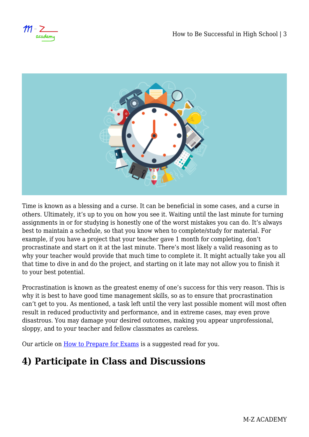

Time is known as a blessing and a curse. It can be beneficial in some cases, and a curse in others. Ultimately, it's up to you on how you see it. Waiting until the last minute for turning assignments in or for studying is honestly one of the worst mistakes you can do. It's always best to maintain a schedule, so that you know when to complete/study for material. For example, if you have a project that your teacher gave 1 month for completing, don't procrastinate and start on it at the last minute. There's most likely a valid reasoning as to why your teacher would provide that much time to complete it. It might actually take you all that time to dive in and do the project, and starting on it late may not allow you to finish it to your best potential.

Procrastination is known as the greatest enemy of one's success for this very reason. This is why it is best to have good time management skills, so as to ensure that procrastination can't get to you. As mentioned, a task left until the very last possible moment will most often result in reduced productivity and performance, and in extreme cases, may even prove disastrous. You may damage your desired outcomes, making you appear unprofessional, sloppy, and to your teacher and fellow classmates as careless.

Our article on [How to Prepare for Exams](https://mzacademy.net/guidance/how-to-prepare-for-exams/) is a suggested read for you.

## **4) Participate in Class and Discussions**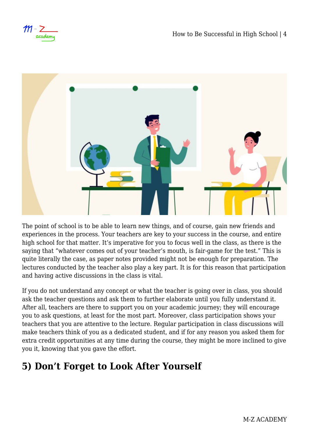$m - 7$ academy



The point of school is to be able to learn new things, and of course, gain new friends and experiences in the process. Your teachers are key to your success in the course, and entire high school for that matter. It's imperative for you to focus well in the class, as there is the saying that "whatever comes out of your teacher's mouth, is fair-game for the test." This is quite literally the case, as paper notes provided might not be enough for preparation. The lectures conducted by the teacher also play a key part. It is for this reason that participation and having active discussions in the class is vital.

If you do not understand any concept or what the teacher is going over in class, you should ask the teacher questions and ask them to further elaborate until you fully understand it. After all, teachers are there to support you on your academic journey; they will encourage you to ask questions, at least for the most part. Moreover, class participation shows your teachers that you are attentive to the lecture. Regular participation in class discussions will make teachers think of you as a dedicated student, and if for any reason you asked them for extra credit opportunities at any time during the course, they might be more inclined to give you it, knowing that you gave the effort.

#### **5) Don't Forget to Look After Yourself**